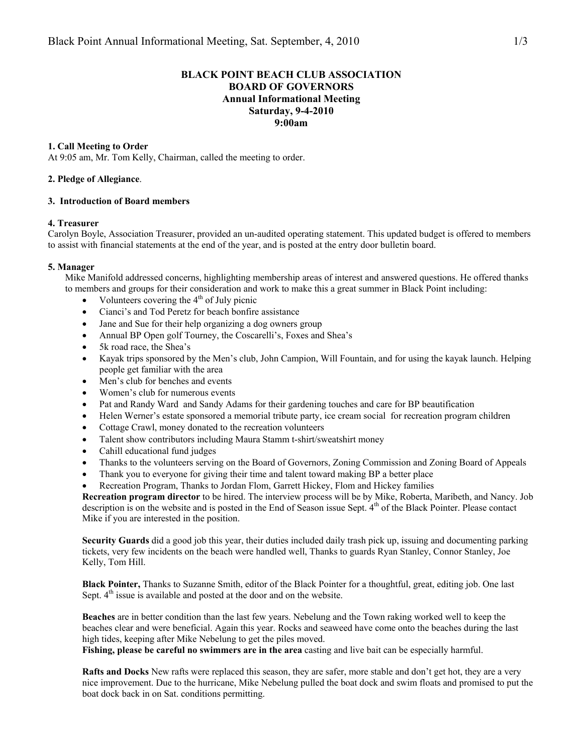# **BLACK POINT BEACH CLUB ASSOCIATION BOARD OF GOVERNORS Annual Informational Meeting Saturday, 9-4-2010 9:00am**

## **1. Call Meeting to Order**

At 9:05 am, Mr. Tom Kelly, Chairman, called the meeting to order.

### **2. Pledge of Allegiance**.

#### **3. Introduction of Board members**

#### **4. Treasurer**

Carolyn Boyle, Association Treasurer, provided an un-audited operating statement. This updated budget is offered to members to assist with financial statements at the end of the year, and is posted at the entry door bulletin board.

#### **5. Manager**

Mike Manifold addressed concerns, highlighting membership areas of interest and answered questions. He offered thanks to members and groups for their consideration and work to make this a great summer in Black Point including:

- Volunteers covering the  $4<sup>th</sup>$  of July picnic
- Cianci's and Tod Peretz for beach bonfire assistance
- Jane and Sue for their help organizing a dog owners group
- Annual BP Open golf Tourney, the Coscarelli's, Foxes and Shea's
- 5k road race, the Shea's
- Kayak trips sponsored by the Men's club, John Campion, Will Fountain, and for using the kayak launch. Helping people get familiar with the area
- Men's club for benches and events
- Women's club for numerous events
- Pat and Randy Ward and Sandy Adams for their gardening touches and care for BP beautification
- Helen Werner's estate sponsored a memorial tribute party, ice cream social for recreation program children
- Cottage Crawl, money donated to the recreation volunteers
- Talent show contributors including Maura Stamm t-shirt/sweatshirt money
- Cahill educational fund judges
- Thanks to the volunteers serving on the Board of Governors, Zoning Commission and Zoning Board of Appeals
- Thank you to everyone for giving their time and talent toward making BP a better place
- Recreation Program, Thanks to Jordan Flom, Garrett Hickey, Flom and Hickey families

**Recreation program director** to be hired. The interview process will be by Mike, Roberta, Maribeth, and Nancy. Job description is on the website and is posted in the End of Season issue Sept. 4<sup>th</sup> of the Black Pointer. Please contact Mike if you are interested in the position.

**Security Guards** did a good job this year, their duties included daily trash pick up, issuing and documenting parking tickets, very few incidents on the beach were handled well, Thanks to guards Ryan Stanley, Connor Stanley, Joe Kelly, Tom Hill.

**Black Pointer,** Thanks to Suzanne Smith, editor of the Black Pointer for a thoughtful, great, editing job. One last Sept.  $4<sup>th</sup>$  issue is available and posted at the door and on the website.

**Beaches** are in better condition than the last few years. Nebelung and the Town raking worked well to keep the beaches clear and were beneficial. Again this year. Rocks and seaweed have come onto the beaches during the last high tides, keeping after Mike Nebelung to get the piles moved.

**Fishing, please be careful no swimmers are in the area** casting and live bait can be especially harmful.

**Rafts and Docks** New rafts were replaced this season, they are safer, more stable and don't get hot, they are a very nice improvement. Due to the hurricane, Mike Nebelung pulled the boat dock and swim floats and promised to put the boat dock back in on Sat. conditions permitting.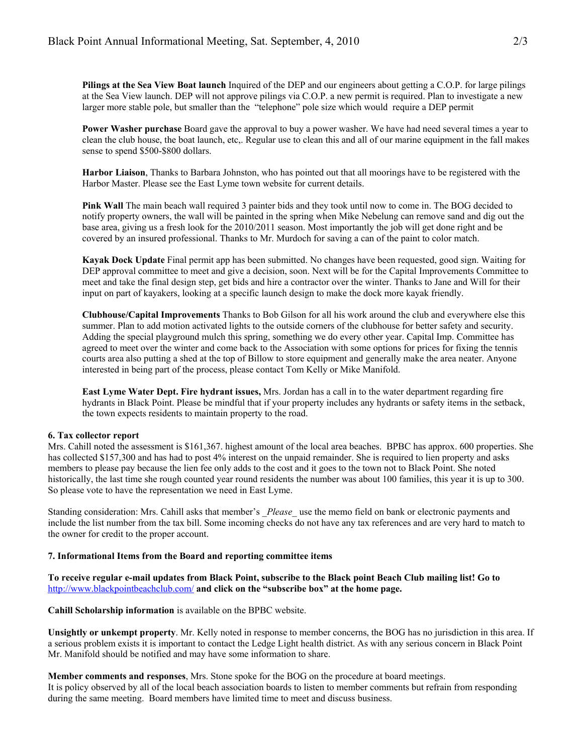**Pilings at the Sea View Boat launch** Inquired of the DEP and our engineers about getting a C.O.P. for large pilings at the Sea View launch. DEP will not approve pilings via C.O.P. a new permit is required. Plan to investigate a new larger more stable pole, but smaller than the "telephone" pole size which would require a DEP permit

**Power Washer purchase** Board gave the approval to buy a power washer. We have had need several times a year to clean the club house, the boat launch, etc,. Regular use to clean this and all of our marine equipment in the fall makes sense to spend \$500-\$800 dollars.

**Harbor Liaison**, Thanks to Barbara Johnston, who has pointed out that all moorings have to be registered with the Harbor Master. Please see the East Lyme town website for current details.

**Pink Wall** The main beach wall required 3 painter bids and they took until now to come in. The BOG decided to notify property owners, the wall will be painted in the spring when Mike Nebelung can remove sand and dig out the base area, giving us a fresh look for the 2010/2011 season. Most importantly the job will get done right and be covered by an insured professional. Thanks to Mr. Murdoch for saving a can of the paint to color match.

**Kayak Dock Update** Final permit app has been submitted. No changes have been requested, good sign. Waiting for DEP approval committee to meet and give a decision, soon. Next will be for the Capital Improvements Committee to meet and take the final design step, get bids and hire a contractor over the winter. Thanks to Jane and Will for their input on part of kayakers, looking at a specific launch design to make the dock more kayak friendly.

**Clubhouse/Capital Improvements** Thanks to Bob Gilson for all his work around the club and everywhere else this summer. Plan to add motion activated lights to the outside corners of the clubhouse for better safety and security. Adding the special playground mulch this spring, something we do every other year. Capital Imp. Committee has agreed to meet over the winter and come back to the Association with some options for prices for fixing the tennis courts area also putting a shed at the top of Billow to store equipment and generally make the area neater. Anyone interested in being part of the process, please contact Tom Kelly or Mike Manifold.

**East Lyme Water Dept. Fire hydrant issues,** Mrs. Jordan has a call in to the water department regarding fire hydrants in Black Point. Please be mindful that if your property includes any hydrants or safety items in the setback, the town expects residents to maintain property to the road.

### **6. Tax collector report**

Mrs. Cahill noted the assessment is \$161,367. highest amount of the local area beaches. BPBC has approx. 600 properties. She has collected \$157,300 and has had to post 4% interest on the unpaid remainder. She is required to lien property and asks members to please pay because the lien fee only adds to the cost and it goes to the town not to Black Point. She noted historically, the last time she rough counted year round residents the number was about 100 families, this year it is up to 300. So please vote to have the representation we need in East Lyme.

Standing consideration: Mrs. Cahill asks that member's \_*Please\_* use the memo field on bank or electronic payments and include the list number from the tax bill. Some incoming checks do not have any tax references and are very hard to match to the owner for credit to the proper account.

## **7. Informational Items from the Board and reporting committee items**

**To receive regular e-mail updates from Black Point, subscribe to the Black point Beach Club mailing list! Go to**  http://www.blackpointbeachclub.com/ **and click on the "subscribe box" at the home page.** 

**Cahill Scholarship information** is available on the BPBC website.

**Unsightly or unkempt property**. Mr. Kelly noted in response to member concerns, the BOG has no jurisdiction in this area. If a serious problem exists it is important to contact the Ledge Light health district. As with any serious concern in Black Point Mr. Manifold should be notified and may have some information to share.

**Member comments and responses**, Mrs. Stone spoke for the BOG on the procedure at board meetings. It is policy observed by all of the local beach association boards to listen to member comments but refrain from responding during the same meeting. Board members have limited time to meet and discuss business.